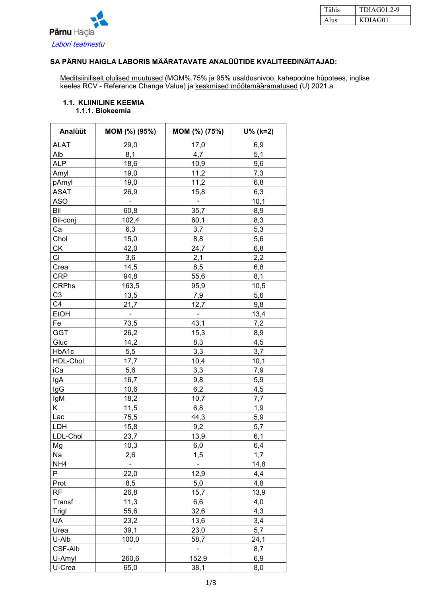

| Tähis | TDIAG01.2-9 |
|-------|-------------|
|       | KDIAG01     |

### **SA PÄRNU HAIGLA LABORIS MÄÄRATAVATE ANALÜÜTIDE KVALITEEDINÄITAJAD:**

Meditsiiniliselt olulised muutused (MOM%,75% ja 95% usaldusnivoo, kahepoolne hüpotees, inglise keeles RCV - Reference Change Value) ja <u>keskmised mõõtemääramatused</u> (U) 2021.a.

#### **1.1. KLIINILINE KEEMIA 1.1.1. Biokeemia**

| Analüüt         | MOM (%) (95%)            | MOM (%) (75%)                | $U\%$ (k=2) |
|-----------------|--------------------------|------------------------------|-------------|
| <b>ALAT</b>     | 29,0                     | 17,0                         | 6,9         |
| Alb             | 8,1                      | 4,7                          | 5,1         |
| <b>ALP</b>      | 18,6                     | 10,9                         | 9,6         |
| Amyl            | 19,0                     | 11,2                         | 7,3         |
| pAmyl           | 19,0                     | 11,2                         | 6,8         |
| <b>ASAT</b>     | 26,9                     | 15,8                         | 6,3         |
| <b>ASO</b>      | ۰                        | -                            | 10,1        |
| Bil             | 60,8                     | 35,7                         | 8,9         |
| Bil-conj        | 102,4                    | 60,1                         | 8,3         |
| Сa              | 6,3                      | 3,7                          | 5,3         |
| Chol            | 15,0                     | 8,8                          | 5,6         |
| СK              | 42,0                     | 24,7                         | 6,8         |
| СI              | 3,6                      | 2,1                          | 2,2         |
| Crea            | 14,5                     | 8,5                          | 6,8         |
| <b>CRP</b>      | 94,8                     | 55,6                         | 8,1         |
| <b>CRPhs</b>    | 163,5                    | 95,9                         | 10,5        |
| C <sub>3</sub>  | 13,5                     | 7,9                          | 5,6         |
| C4              | 21,7                     | 12,7                         | 9,8         |
| <b>EtOH</b>     | $\overline{\phantom{0}}$ | $\qquad \qquad \blacksquare$ | 13,4        |
| Fe              | 73,5                     | 43,1                         | 7,2         |
| <b>GGT</b>      | 26,2                     | 15,3                         | 8,9         |
| Gluc            | 14,2                     | 8,3                          | 4,5         |
| HbA1c           | 5,5                      | 3,3                          | 3,7         |
| HDL-Chol        | 17,7                     | 10,4                         | 10,1        |
| iCa             |                          | 3,3                          | 7,9         |
|                 | 5,6<br>16,7              |                              |             |
| IgA<br>lgG      | 10,6                     | 9,8<br>6,2                   | 5,9         |
|                 | 18,2                     |                              | 4,5         |
| IgM<br>Κ        |                          | 10,7<br>6,8                  | 7,7<br>1,9  |
| Lac             | 11,5                     |                              | 5,9         |
|                 | 75,5                     | 44,3                         |             |
| LDH             | 15,8                     | 9,2                          | 5,7         |
| LDL-Chol        | 23,7                     | 13,9                         | 6,1         |
| Mg              | 10,3                     | 6,0                          | 6,4         |
| Na              | 2,6                      | 1,5                          | 1,7         |
| NH <sub>4</sub> | $\blacksquare$           | $\blacksquare$               | 14,8        |
| P               | 22,0                     | 12,9                         | 4,4         |
| Prot            | 8,5                      | 5,0                          | 4,8         |
| <b>RF</b>       | 26,8                     | 15,7                         | 13,9        |
| Transf          | 11,3                     | 6,6                          | 4,0         |
| Trigl           | 55,6                     | 32,6                         | 4,3         |
| <b>UA</b>       | 23,2                     | 13,6                         | 3,4         |
| Urea            | 39,1                     | 23,0                         | 5,7         |
| U-Alb           | 100,0                    | 58,7                         | 24,1        |
| CSF-Alb         | $\overline{\phantom{0}}$ | $\blacksquare$               | 8,7         |
| U-Amyl          | 260,6                    | 152,9                        | 6,9         |
| U-Crea          | 65,0                     | 38,1                         | 8,0         |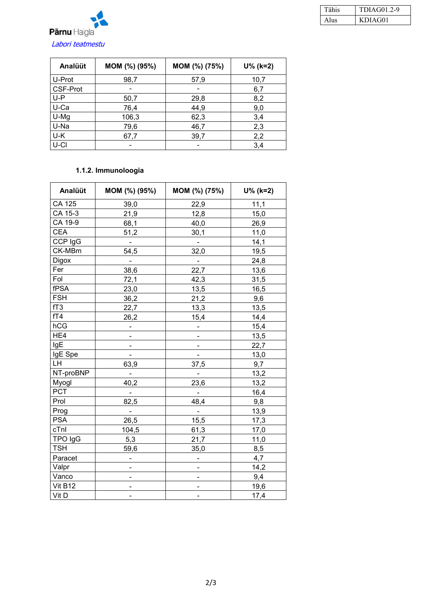

| Tähis | TDIAG01.2-9 |
|-------|-------------|
| A lus | KDIAG01     |

| Analüüt         | MOM (%) (95%) | MOM (%) (75%) | $U\%$ (k=2) |
|-----------------|---------------|---------------|-------------|
| U-Prot          | 98,7          | 57,9          | 10,7        |
| <b>CSF-Prot</b> | -             |               | 6,7         |
| $U-P$           | 50,7          | 29,8          | 8,2         |
| U-Ca            | 76,4          | 44,9          | 9,0         |
| U-Mg            | 106,3         | 62,3          | 3,4         |
| U-Na            | 79,6          | 46,7          | 2,3         |
| U-K             | 67,7          | 39,7          | 2,2         |
| U-CI            |               |               | 3,4         |

## **1.1.2. Immunoloogia**

| Analüüt         | MOM (%) (95%)            | MOM (%) (75%)            | $U\%$ (k=2) |
|-----------------|--------------------------|--------------------------|-------------|
| CA 125          | 39,0                     | 22,9                     | 11,1        |
| CA 15-3         | 21,9                     | 12,8                     | 15,0        |
| CA 19-9         | 68,1                     | 40,0                     | 26,9        |
| <b>CEA</b>      | 51,2                     | 30,1                     | 11,0        |
| CCP IgG         | $\blacksquare$           | $\blacksquare$           | 14,1        |
| CK-MBm          | 54,5                     | 32,0                     | 19,5        |
| <b>Digox</b>    |                          | $\blacksquare$           | 24,8        |
| Fer             | 38,6                     | 22,7                     | 13,6        |
| Fol             | 72,1                     | 42,3                     | 31,5        |
| fPSA            | 23,0                     | 13,5                     | 16,5        |
| <b>FSH</b>      | 36,2                     | 21,2                     | 9,6         |
| fT <sub>3</sub> | 22,7                     | 13,3                     | 13,5        |
| fT4             | 26,2                     | 15,4                     | 14,4        |
| hCG             | ÷                        | -                        | 15,4        |
| HE4             |                          |                          | 13,5        |
| IgE             |                          |                          | 22,7        |
| IgE Spe         |                          |                          | 13,0        |
| LH              | 63,9                     | 37,5                     | 9,7         |
| NT-proBNP       |                          | $\blacksquare$           | 13,2        |
| Myogl           | 40,2                     | 23,6                     | 13,2        |
| PCT             |                          | $\blacksquare$           | 16,4        |
| Prol            | 82,5                     | 48,4                     | 9,8         |
| Prog            | ÷,                       | $\overline{\phantom{a}}$ | 13,9        |
| <b>PSA</b>      | 26,5                     | 15,5                     | 17,3        |
| cTnl            | 104,5                    | 61,3                     | 17,0        |
| TPO IgG         | 5,3                      | 21,7                     | 11,0        |
| <b>TSH</b>      | 59,6                     | 35,0                     | 8,5         |
| Paracet         | -                        | -                        | 4,7         |
| Valpr           | -                        | $\overline{\phantom{0}}$ | 14,2        |
| Vanco           | $\overline{\phantom{0}}$ |                          | 9,4         |
| Vit B12         |                          |                          | 19,6        |
| Vit D           |                          |                          | 17,4        |